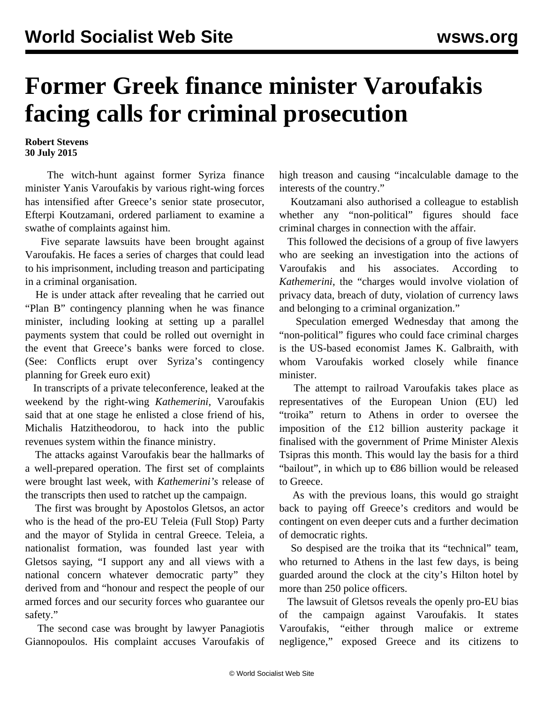## **Former Greek finance minister Varoufakis facing calls for criminal prosecution**

**Robert Stevens 30 July 2015**

 The witch-hunt against former Syriza finance minister Yanis Varoufakis by various right-wing forces has intensified after Greece's senior state prosecutor, Efterpi Koutzamani, ordered parliament to examine a swathe of complaints against him.

 Five separate lawsuits have been brought against Varoufakis. He faces a series of charges that could lead to his imprisonment, including treason and participating in a criminal organisation.

 He is under attack after revealing that he carried out "Plan B" contingency planning when he was finance minister, including looking at setting up a parallel payments system that could be rolled out overnight in the event that Greece's banks were forced to close. (See: [Conflicts erupt over Syriza's contingency](/en/articles/2015/07/28/varo-j28.html) [planning for Greek euro exit\)](/en/articles/2015/07/28/varo-j28.html)

 In transcripts of a private teleconference, leaked at the weekend by the right-wing *Kathemerini*, Varoufakis said that at one stage he enlisted a close friend of his, Michalis Hatzitheodorou, to hack into the public revenues system within the finance ministry.

 The attacks against Varoufakis bear the hallmarks of a well-prepared operation. The first set of complaints were brought last week, with *Kathemerini's* release of the transcripts then used to ratchet up the campaign.

 The first was brought by Apostolos Gletsos, an actor who is the head of the pro-EU Teleia (Full Stop) Party and the mayor of Stylida in central Greece. Teleia, a nationalist formation, was founded last year with Gletsos saying, "I support any and all views with a national concern whatever democratic party" they derived from and "honour and respect the people of our armed forces and our security forces who guarantee our safety."

 The second case was brought by lawyer Panagiotis Giannopoulos. His complaint accuses Varoufakis of high treason and causing "incalculable damage to the interests of the country."

 Koutzamani also authorised a colleague to establish whether any "non-political" figures should face criminal charges in connection with the affair.

 This followed the decisions of a group of five lawyers who are seeking an investigation into the actions of Varoufakis and his associates. According to *Kathemerini*, the "charges would involve violation of privacy data, breach of duty, violation of currency laws and belonging to a criminal organization."

 Speculation emerged Wednesday that among the "non-political" figures who could face criminal charges is the US-based economist James K. Galbraith, with whom Varoufakis worked closely while finance minister.

 The attempt to railroad Varoufakis takes place as representatives of the European Union (EU) led "troika" return to Athens in order to oversee the imposition of the £12 billion austerity package it finalised with the government of Prime Minister Alexis Tsipras this month. This would lay the basis for a third "bailout", in which up to  $\epsilon$ 86 billion would be released to Greece.

 As with the previous loans, this would go straight back to paying off Greece's creditors and would be contingent on even deeper cuts and a further decimation of democratic rights.

 So despised are the troika that its "technical" team, who returned to Athens in the last few days, is being guarded around the clock at the city's Hilton hotel by more than 250 police officers.

 The lawsuit of Gletsos reveals the openly pro-EU bias of the campaign against Varoufakis. It states Varoufakis, "either through malice or extreme negligence," exposed Greece and its citizens to